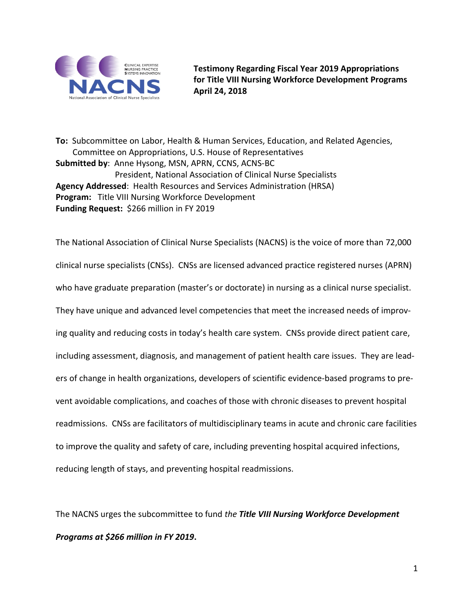

**Testimony Regarding Fiscal Year 2019 Appropriations for Title VIII Nursing Workforce Development Programs April 24, 2018**

**To:** Subcommittee on Labor, Health & Human Services, Education, and Related Agencies, Committee on Appropriations, U.S. House of Representatives **Submitted by**: Anne Hysong, MSN, APRN, CCNS, ACNS-BC President, National Association of Clinical Nurse Specialists **Agency Addressed**: Health Resources and Services Administration (HRSA) **Program:** Title VIII Nursing Workforce Development **Funding Request:** \$266 million in FY 2019

The National Association of Clinical Nurse Specialists (NACNS) is the voice of more than 72,000 clinical nurse specialists (CNSs). CNSs are licensed advanced practice registered nurses (APRN) who have graduate preparation (master's or doctorate) in nursing as a clinical nurse specialist. They have unique and advanced level competencies that meet the increased needs of improving quality and reducing costs in today's health care system. CNSs provide direct patient care, including assessment, diagnosis, and management of patient health care issues. They are leaders of change in health organizations, developers of scientific evidence-based programs to prevent avoidable complications, and coaches of those with chronic diseases to prevent hospital readmissions. CNSs are facilitators of multidisciplinary teams in acute and chronic care facilities to improve the quality and safety of care, including preventing hospital acquired infections, reducing length of stays, and preventing hospital readmissions.

The NACNS urges the subcommittee to fund *the Title VIII Nursing Workforce Development Programs at \$266 million in FY 2019***.**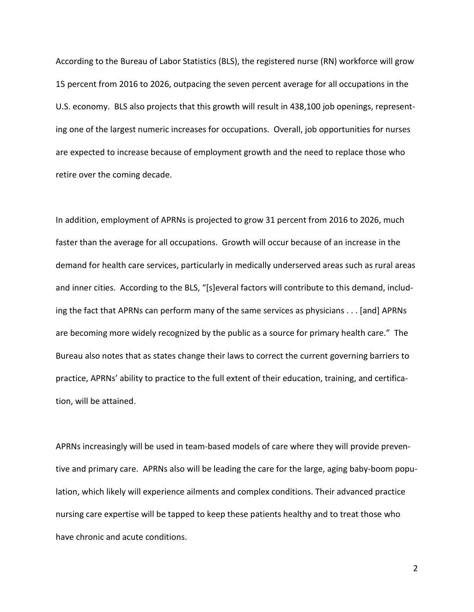According to the Bureau of Labor Statistics (BLS), the registered nurse (RN) workforce will grow 15 percent from 2016 to 2026, outpacing the seven percent average for all occupations in the U.S. economy. BLS also projects that this growth will result in 438,100 job openings, representing one of the largest numeric increases for occupations. Overall, job opportunities for nurses are expected to increase because of employment growth and the need to replace those who retire over the coming decade.

In addition, employment of APRNs is projected to grow 31 percent from 2016 to 2026, much faster than the average for all occupations. Growth will occur because of an increase in the demand for health care services, particularly in medically underserved areas such as rural areas and inner cities. According to the BLS, "[s]everal factors will contribute to this demand, including the fact that APRNs can perform many of the same services as physicians . . . [and] APRNs are becoming more widely recognized by the public as a source for primary health care." The Bureau also notes that as states change their laws to correct the current governing barriers to practice, APRNs' ability to practice to the full extent of their education, training, and certification, will be attained.

APRNs increasingly will be used in team-based models of care where they will provide preventive and primary care. APRNs also will be leading the care for the large, aging baby-boom population, which likely will experience ailments and complex conditions. Their advanced practice nursing care expertise will be tapped to keep these patients healthy and to treat those who have chronic and acute conditions.

2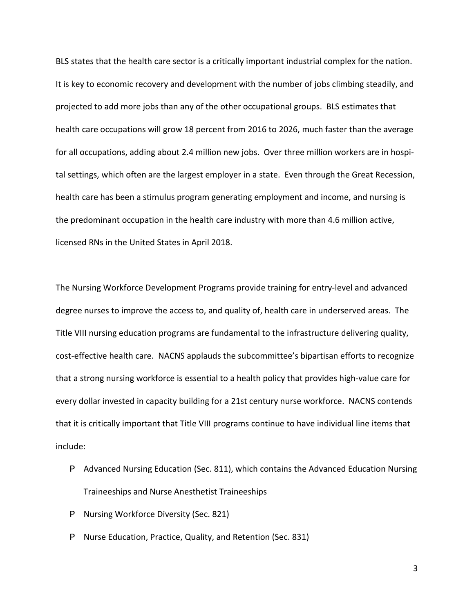BLS states that the health care sector is a critically important industrial complex for the nation. It is key to economic recovery and development with the number of jobs climbing steadily, and projected to add more jobs than any of the other occupational groups. BLS estimates that health care occupations will grow 18 percent from 2016 to 2026, much faster than the average for all occupations, adding about 2.4 million new jobs. Over three million workers are in hospital settings, which often are the largest employer in a state. Even through the Great Recession, health care has been a stimulus program generating employment and income, and nursing is the predominant occupation in the health care industry with more than 4.6 million active, licensed RNs in the United States in April 2018.

The Nursing Workforce Development Programs provide training for entry-level and advanced degree nurses to improve the access to, and quality of, health care in underserved areas. The Title VIII nursing education programs are fundamental to the infrastructure delivering quality, cost-effective health care. NACNS applauds the subcommittee's bipartisan efforts to recognize that a strong nursing workforce is essential to a health policy that provides high-value care for every dollar invested in capacity building for a 21st century nurse workforce. NACNS contends that it is critically important that Title VIII programs continue to have individual line items that include:

- P Advanced Nursing Education (Sec. 811), which contains the Advanced Education Nursing Traineeships and Nurse Anesthetist Traineeships
- P Nursing Workforce Diversity (Sec. 821)
- P Nurse Education, Practice, Quality, and Retention (Sec. 831)

3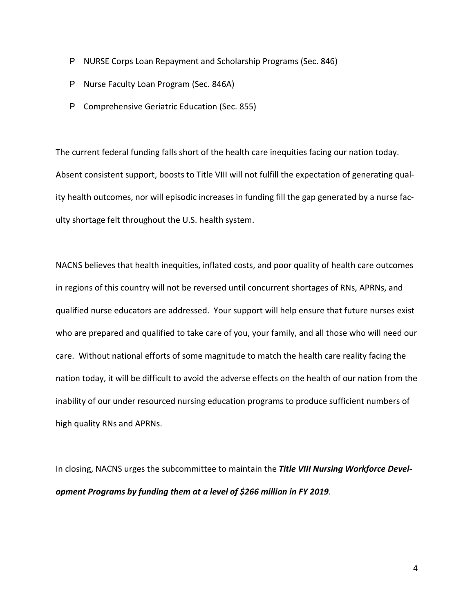- P NURSE Corps Loan Repayment and Scholarship Programs (Sec. 846)
- P Nurse Faculty Loan Program (Sec. 846A)
- P Comprehensive Geriatric Education (Sec. 855)

The current federal funding falls short of the health care inequities facing our nation today. Absent consistent support, boosts to Title VIII will not fulfill the expectation of generating quality health outcomes, nor will episodic increases in funding fill the gap generated by a nurse faculty shortage felt throughout the U.S. health system.

NACNS believes that health inequities, inflated costs, and poor quality of health care outcomes in regions of this country will not be reversed until concurrent shortages of RNs, APRNs, and qualified nurse educators are addressed. Your support will help ensure that future nurses exist who are prepared and qualified to take care of you, your family, and all those who will need our care. Without national efforts of some magnitude to match the health care reality facing the nation today, it will be difficult to avoid the adverse effects on the health of our nation from the inability of our under resourced nursing education programs to produce sufficient numbers of high quality RNs and APRNs.

In closing, NACNS urges the subcommittee to maintain the *Title VIII Nursing Workforce Development Programs by funding them at a level of \$266 million in FY 2019*.